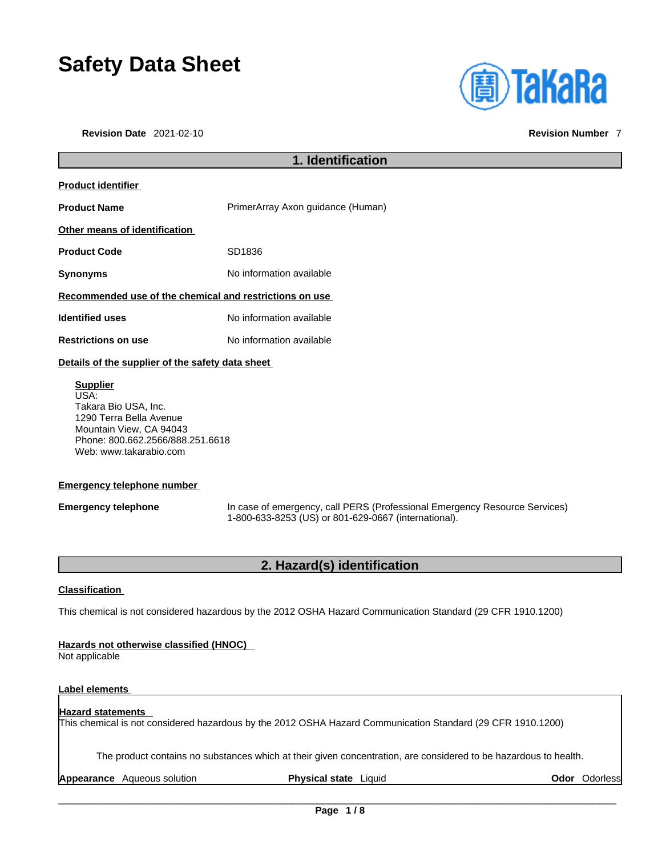# **Safety Data Sheet**

**Revision Date** 2021-02-10 **Revision Number** 7

| <b>(<u>a)</u> TaKaRa</b> |  |  |
|--------------------------|--|--|
|                          |  |  |
|                          |  |  |

# **1. Identification Product identifier Product Name** PrimerArray Axon guidance (Human) **Other means of identification** Product Code SD1836 **Synonyms** No information available **Recommended use of the chemical and restrictions on use Identified uses** No information available **Restrictions on use** No information available **Details of the supplier of the safety data sheet Supplier** USA: Takara Bio USA, Inc.

1290 Terra Bella Avenue Mountain View, CA 94043 Phone: 800.662.2566/888.251.6618 Web: www.takarabio.com

### **Emergency telephone number**

**Emergency telephone** In case of emergency, call PERS (Professional Emergency Resource Services) 1-800-633-8253 (US) or 801-629-0667 (international).

### **2. Hazard(s) identification**

### **Classification**

This chemical is not considered hazardous by the 2012 OSHA Hazard Communication Standard (29 CFR 1910.1200)

### **Hazards not otherwise classified (HNOC)**

Not applicable

### **Label elements**

### **Hazard statements**

This chemical is not considered hazardous by the 2012 OSHA Hazard Communication Standard (29 CFR 1910.1200)

The product contains no substances which at their given concentration, are considered to be hazardous to health.

**Appearance** Aqueous solution **Physical state** Liquid **Odor** Odorless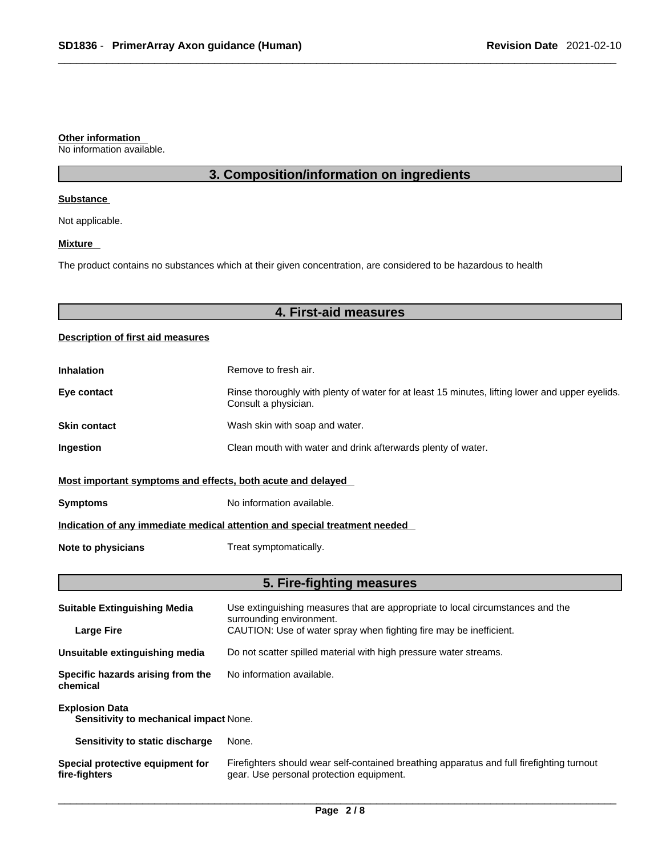### **Other information**

No information available.

### **3. Composition/information on ingredients**

### **Substance**

Not applicable.

### **Mixture**

The product contains no substances which at their given concentration, are considered to be hazardous to health

### **4. First-aid measures**

### **Description of first aid measures**

| <b>Inhalation</b>                                                          | Remove to fresh air.                                                                                                    |  |
|----------------------------------------------------------------------------|-------------------------------------------------------------------------------------------------------------------------|--|
| Eye contact                                                                | Rinse thoroughly with plenty of water for at least 15 minutes, lifting lower and upper eyelids.<br>Consult a physician. |  |
| <b>Skin contact</b>                                                        | Wash skin with soap and water.                                                                                          |  |
| Ingestion                                                                  | Clean mouth with water and drink afterwards plenty of water.                                                            |  |
| Most important symptoms and effects, both acute and delayed                |                                                                                                                         |  |
| <b>Symptoms</b>                                                            | No information available.                                                                                               |  |
| Indication of any immediate medical attention and special treatment needed |                                                                                                                         |  |
| Note to physicians                                                         | Treat symptomatically.                                                                                                  |  |

### **5. Fire-fighting measures**

| <b>Suitable Extinguishing Media</b>                             | Use extinguishing measures that are appropriate to local circumstances and the<br>surrounding environment.                            |  |
|-----------------------------------------------------------------|---------------------------------------------------------------------------------------------------------------------------------------|--|
| <b>Large Fire</b>                                               | CAUTION: Use of water spray when fighting fire may be inefficient.                                                                    |  |
| Unsuitable extinguishing media                                  | Do not scatter spilled material with high pressure water streams.                                                                     |  |
| Specific hazards arising from the<br>chemical                   | No information available.                                                                                                             |  |
| <b>Explosion Data</b><br>Sensitivity to mechanical impact None. |                                                                                                                                       |  |
| Sensitivity to static discharge                                 | None.                                                                                                                                 |  |
| Special protective equipment for<br>fire-fighters               | Firefighters should wear self-contained breathing apparatus and full firefighting turnout<br>gear. Use personal protection equipment. |  |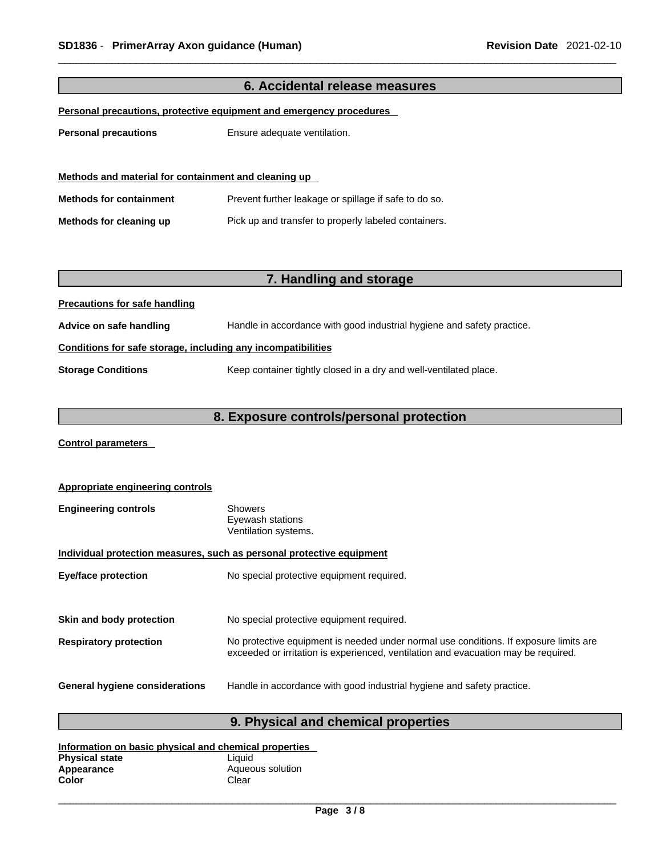| 6. Accidental release measures                               |                                                                        |  |
|--------------------------------------------------------------|------------------------------------------------------------------------|--|
|                                                              | Personal precautions, protective equipment and emergency procedures    |  |
|                                                              |                                                                        |  |
| <b>Personal precautions</b>                                  | Ensure adequate ventilation.                                           |  |
|                                                              |                                                                        |  |
|                                                              |                                                                        |  |
| Methods and material for containment and cleaning up         |                                                                        |  |
| <b>Methods for containment</b>                               | Prevent further leakage or spillage if safe to do so.                  |  |
| Methods for cleaning up                                      | Pick up and transfer to properly labeled containers.                   |  |
|                                                              |                                                                        |  |
|                                                              |                                                                        |  |
|                                                              |                                                                        |  |
|                                                              | 7. Handling and storage                                                |  |
| <b>Precautions for safe handling</b>                         |                                                                        |  |
| Advice on safe handling                                      | Handle in accordance with good industrial hygiene and safety practice. |  |
| Conditions for safe storage, including any incompatibilities |                                                                        |  |
| <b>Storage Conditions</b>                                    | Keep container tightly closed in a dry and well-ventilated place.      |  |
|                                                              |                                                                        |  |
|                                                              |                                                                        |  |
| 8. Exposure controls/personal protection                     |                                                                        |  |

**Control parameters** 

| Appropriate engineering controls                                      |                                                                                                                                                                             |
|-----------------------------------------------------------------------|-----------------------------------------------------------------------------------------------------------------------------------------------------------------------------|
| <b>Engineering controls</b>                                           | Showers<br>Eyewash stations<br>Ventilation systems.                                                                                                                         |
| Individual protection measures, such as personal protective equipment |                                                                                                                                                                             |
| <b>Eye/face protection</b>                                            | No special protective equipment required.                                                                                                                                   |
|                                                                       |                                                                                                                                                                             |
| Skin and body protection                                              | No special protective equipment required.                                                                                                                                   |
| <b>Respiratory protection</b>                                         | No protective equipment is needed under normal use conditions. If exposure limits are<br>exceeded or irritation is experienced, ventilation and evacuation may be required. |
| <b>General hygiene considerations</b>                                 | Handle in accordance with good industrial hygiene and safety practice.                                                                                                      |

# **9. Physical and chemical properties**

|                       | Information on basic physical and chemical properties |
|-----------------------|-------------------------------------------------------|
| <b>Physical state</b> | Liauid                                                |
| Appearance            | Aqueous solution                                      |
| Color                 | Clear                                                 |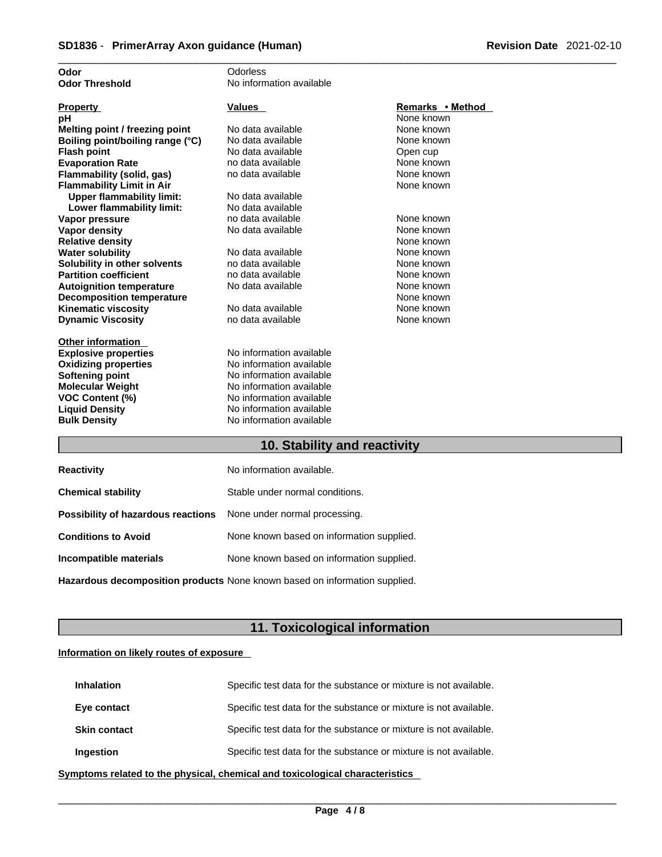| No information available<br><b>Odor Threshold</b><br>Remarks • Method<br><b>Values</b><br><b>Property</b><br>None known<br>pH<br>No data available<br>None known<br>Melting point / freezing point<br>No data available<br>None known<br>Boiling point/boiling range (°C)<br>No data available<br><b>Flash point</b><br>Open cup<br>None known<br><b>Evaporation Rate</b><br>no data available<br>None known<br>no data available<br>Flammability (solid, gas)<br><b>Flammability Limit in Air</b><br>None known<br><b>Upper flammability limit:</b><br>No data available<br>Lower flammability limit:<br>No data available<br>no data available<br>None known<br>Vapor pressure<br>No data available<br>None known<br><b>Vapor density</b><br><b>Relative density</b><br>None known<br>No data available<br>None known<br><b>Water solubility</b><br>no data available<br>None known<br>Solubility in other solvents<br><b>Partition coefficient</b><br>no data available<br>None known<br>No data available<br>None known<br><b>Autoignition temperature</b><br>None known<br><b>Decomposition temperature</b><br>No data available<br>None known<br><b>Kinematic viscosity</b><br>no data available<br>None known<br><b>Dynamic Viscosity</b> |
|--------------------------------------------------------------------------------------------------------------------------------------------------------------------------------------------------------------------------------------------------------------------------------------------------------------------------------------------------------------------------------------------------------------------------------------------------------------------------------------------------------------------------------------------------------------------------------------------------------------------------------------------------------------------------------------------------------------------------------------------------------------------------------------------------------------------------------------------------------------------------------------------------------------------------------------------------------------------------------------------------------------------------------------------------------------------------------------------------------------------------------------------------------------------------------------------------------------------------------------------------|
|                                                                                                                                                                                                                                                                                                                                                                                                                                                                                                                                                                                                                                                                                                                                                                                                                                                                                                                                                                                                                                                                                                                                                                                                                                                  |
|                                                                                                                                                                                                                                                                                                                                                                                                                                                                                                                                                                                                                                                                                                                                                                                                                                                                                                                                                                                                                                                                                                                                                                                                                                                  |
|                                                                                                                                                                                                                                                                                                                                                                                                                                                                                                                                                                                                                                                                                                                                                                                                                                                                                                                                                                                                                                                                                                                                                                                                                                                  |
|                                                                                                                                                                                                                                                                                                                                                                                                                                                                                                                                                                                                                                                                                                                                                                                                                                                                                                                                                                                                                                                                                                                                                                                                                                                  |
|                                                                                                                                                                                                                                                                                                                                                                                                                                                                                                                                                                                                                                                                                                                                                                                                                                                                                                                                                                                                                                                                                                                                                                                                                                                  |
|                                                                                                                                                                                                                                                                                                                                                                                                                                                                                                                                                                                                                                                                                                                                                                                                                                                                                                                                                                                                                                                                                                                                                                                                                                                  |
|                                                                                                                                                                                                                                                                                                                                                                                                                                                                                                                                                                                                                                                                                                                                                                                                                                                                                                                                                                                                                                                                                                                                                                                                                                                  |
|                                                                                                                                                                                                                                                                                                                                                                                                                                                                                                                                                                                                                                                                                                                                                                                                                                                                                                                                                                                                                                                                                                                                                                                                                                                  |
|                                                                                                                                                                                                                                                                                                                                                                                                                                                                                                                                                                                                                                                                                                                                                                                                                                                                                                                                                                                                                                                                                                                                                                                                                                                  |
|                                                                                                                                                                                                                                                                                                                                                                                                                                                                                                                                                                                                                                                                                                                                                                                                                                                                                                                                                                                                                                                                                                                                                                                                                                                  |
|                                                                                                                                                                                                                                                                                                                                                                                                                                                                                                                                                                                                                                                                                                                                                                                                                                                                                                                                                                                                                                                                                                                                                                                                                                                  |
|                                                                                                                                                                                                                                                                                                                                                                                                                                                                                                                                                                                                                                                                                                                                                                                                                                                                                                                                                                                                                                                                                                                                                                                                                                                  |
|                                                                                                                                                                                                                                                                                                                                                                                                                                                                                                                                                                                                                                                                                                                                                                                                                                                                                                                                                                                                                                                                                                                                                                                                                                                  |
|                                                                                                                                                                                                                                                                                                                                                                                                                                                                                                                                                                                                                                                                                                                                                                                                                                                                                                                                                                                                                                                                                                                                                                                                                                                  |
|                                                                                                                                                                                                                                                                                                                                                                                                                                                                                                                                                                                                                                                                                                                                                                                                                                                                                                                                                                                                                                                                                                                                                                                                                                                  |
|                                                                                                                                                                                                                                                                                                                                                                                                                                                                                                                                                                                                                                                                                                                                                                                                                                                                                                                                                                                                                                                                                                                                                                                                                                                  |
|                                                                                                                                                                                                                                                                                                                                                                                                                                                                                                                                                                                                                                                                                                                                                                                                                                                                                                                                                                                                                                                                                                                                                                                                                                                  |
|                                                                                                                                                                                                                                                                                                                                                                                                                                                                                                                                                                                                                                                                                                                                                                                                                                                                                                                                                                                                                                                                                                                                                                                                                                                  |
|                                                                                                                                                                                                                                                                                                                                                                                                                                                                                                                                                                                                                                                                                                                                                                                                                                                                                                                                                                                                                                                                                                                                                                                                                                                  |
|                                                                                                                                                                                                                                                                                                                                                                                                                                                                                                                                                                                                                                                                                                                                                                                                                                                                                                                                                                                                                                                                                                                                                                                                                                                  |
|                                                                                                                                                                                                                                                                                                                                                                                                                                                                                                                                                                                                                                                                                                                                                                                                                                                                                                                                                                                                                                                                                                                                                                                                                                                  |
|                                                                                                                                                                                                                                                                                                                                                                                                                                                                                                                                                                                                                                                                                                                                                                                                                                                                                                                                                                                                                                                                                                                                                                                                                                                  |
| <b>Other information</b>                                                                                                                                                                                                                                                                                                                                                                                                                                                                                                                                                                                                                                                                                                                                                                                                                                                                                                                                                                                                                                                                                                                                                                                                                         |
| No information available<br><b>Explosive properties</b>                                                                                                                                                                                                                                                                                                                                                                                                                                                                                                                                                                                                                                                                                                                                                                                                                                                                                                                                                                                                                                                                                                                                                                                          |
| No information available<br><b>Oxidizing properties</b>                                                                                                                                                                                                                                                                                                                                                                                                                                                                                                                                                                                                                                                                                                                                                                                                                                                                                                                                                                                                                                                                                                                                                                                          |
| No information available<br>Softening point                                                                                                                                                                                                                                                                                                                                                                                                                                                                                                                                                                                                                                                                                                                                                                                                                                                                                                                                                                                                                                                                                                                                                                                                      |
| No information available<br><b>Molecular Weight</b>                                                                                                                                                                                                                                                                                                                                                                                                                                                                                                                                                                                                                                                                                                                                                                                                                                                                                                                                                                                                                                                                                                                                                                                              |
| <b>VOC Content (%)</b><br>No information available                                                                                                                                                                                                                                                                                                                                                                                                                                                                                                                                                                                                                                                                                                                                                                                                                                                                                                                                                                                                                                                                                                                                                                                               |
| <b>Liquid Density</b><br>No information available                                                                                                                                                                                                                                                                                                                                                                                                                                                                                                                                                                                                                                                                                                                                                                                                                                                                                                                                                                                                                                                                                                                                                                                                |
| <b>Bulk Density</b><br>No information available                                                                                                                                                                                                                                                                                                                                                                                                                                                                                                                                                                                                                                                                                                                                                                                                                                                                                                                                                                                                                                                                                                                                                                                                  |
|                                                                                                                                                                                                                                                                                                                                                                                                                                                                                                                                                                                                                                                                                                                                                                                                                                                                                                                                                                                                                                                                                                                                                                                                                                                  |

### **10. Stability and reactivity**

| <b>Reactivity</b>                                                       | No information available.                 |
|-------------------------------------------------------------------------|-------------------------------------------|
| <b>Chemical stability</b>                                               | Stable under normal conditions.           |
| <b>Possibility of hazardous reactions</b> None under normal processing. |                                           |
| <b>Conditions to Avoid</b>                                              | None known based on information supplied. |
| Incompatible materials                                                  | None known based on information supplied. |
|                                                                         |                                           |

**Hazardous decomposition products** None known based on information supplied.

### **11. Toxicological information**

### **Information on likely routes of exposure**

| <b>Inhalation</b>   | Specific test data for the substance or mixture is not available. |
|---------------------|-------------------------------------------------------------------|
| Eye contact         | Specific test data for the substance or mixture is not available. |
| <b>Skin contact</b> | Specific test data for the substance or mixture is not available. |
| <b>Ingestion</b>    | Specific test data for the substance or mixture is not available. |

**<u>Symptoms related to the physical, chemical and toxicological characteristics</u>**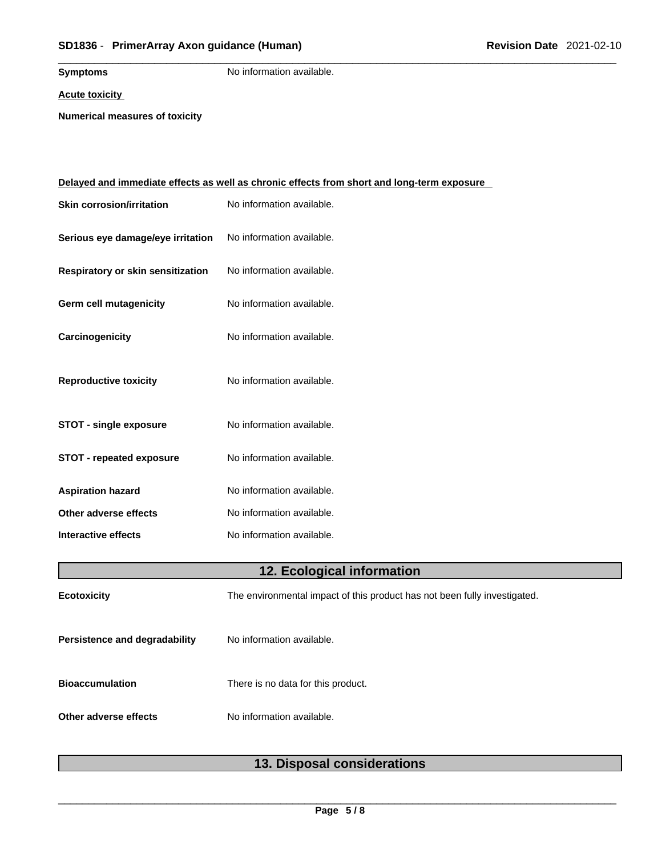**Symptoms** No information available.

### **Acute toxicity**

**Numerical measures of toxicity**

|                                   | <u>Delayed and immediate effects as well as chronic effects from short and long-term exposure</u> |
|-----------------------------------|---------------------------------------------------------------------------------------------------|
| <b>Skin corrosion/irritation</b>  | No information available.                                                                         |
| Serious eye damage/eye irritation | No information available.                                                                         |
| Respiratory or skin sensitization | No information available.                                                                         |
| Germ cell mutagenicity            | No information available.                                                                         |
| Carcinogenicity                   | No information available.                                                                         |
| <b>Reproductive toxicity</b>      | No information available.                                                                         |
| <b>STOT - single exposure</b>     | No information available.                                                                         |
| <b>STOT - repeated exposure</b>   | No information available.                                                                         |
| <b>Aspiration hazard</b>          | No information available.                                                                         |
| Other adverse effects             | No information available.                                                                         |
| Interactive effects               | No information available.                                                                         |
|                                   | 12. Ecological information                                                                        |
| <b>Ecotoxicity</b>                | The environmental impact of this product has not been fully investigated.                         |
| Persistence and degradability     | No information available.                                                                         |
| <b>Bioaccumulation</b>            | There is no data for this product.                                                                |
| Other adverse effects             | No information available.                                                                         |
|                                   |                                                                                                   |

## **13. Disposal considerations**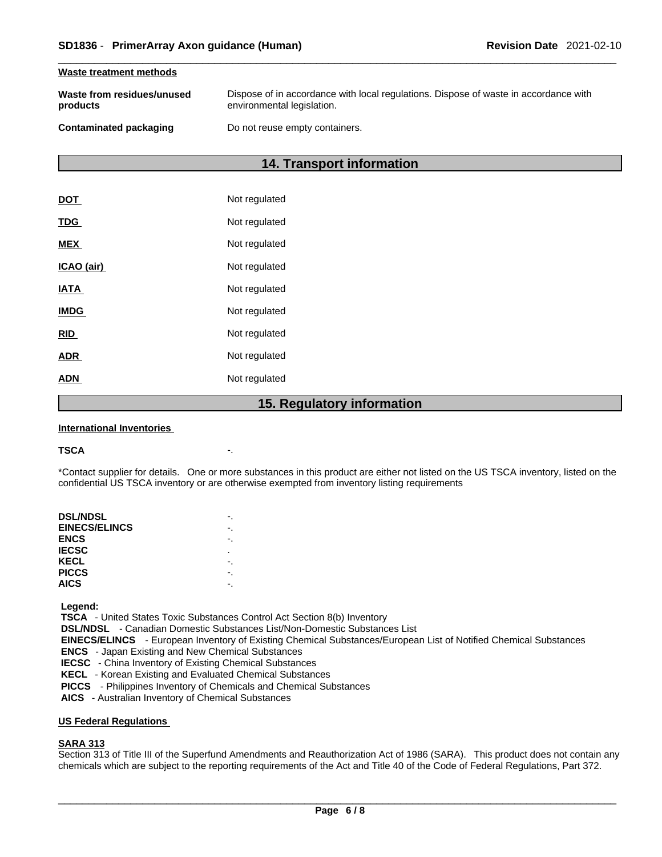#### **Waste treatment methods**

| Waste from residues/unused | Dispose of in accordance with local regulations. Dispose of waste in accordance with |
|----------------------------|--------------------------------------------------------------------------------------|
| products                   | environmental legislation.                                                           |
|                            |                                                                                      |

### **Contaminated packaging Do not reuse empty containers.**

### **14. Transport information**

|             | $D$ $O$ $N$<br>1 E |
|-------------|--------------------|
| <b>ADN</b>  | Not regulated      |
| <b>ADR</b>  | Not regulated      |
| <b>RID</b>  | Not regulated      |
| <b>IMDG</b> | Not regulated      |
| <b>IATA</b> | Not regulated      |
| ICAO (air)  | Not regulated      |
| <b>MEX</b>  | Not regulated      |
| <b>TDG</b>  | Not regulated      |
| DOT         | Not regulated      |

### **15. Regulatory information**

#### **International Inventories**

#### **TSCA** -.

\*Contact supplier for details. One or more substances in this product are either not listed on the US TSCA inventory, listed on the confidential US TSCA inventory or are otherwise exempted from inventory listing requirements

| <b>DSL/NDSL</b>      |   |
|----------------------|---|
| <b>EINECS/ELINCS</b> |   |
| <b>ENCS</b>          |   |
| <b>IECSC</b>         | ٠ |
| KECL                 |   |
| <b>PICCS</b>         |   |
| <b>AICS</b>          |   |
|                      |   |

 **Legend:** 

 **TSCA** - United States Toxic Substances Control Act Section 8(b) Inventory

 **DSL/NDSL** - Canadian Domestic Substances List/Non-Domestic Substances List

 **EINECS/ELINCS** - European Inventory of Existing Chemical Substances/European List of Notified Chemical Substances

 **ENCS** - Japan Existing and New Chemical Substances

 **IECSC** - China Inventory of Existing Chemical Substances

 **KECL** - Korean Existing and Evaluated Chemical Substances

 **PICCS** - Philippines Inventory of Chemicals and Chemical Substances

 **AICS** - Australian Inventory of Chemical Substances

### **US Federal Regulations**

### **SARA 313**

Section 313 of Title III of the Superfund Amendments and Reauthorization Act of 1986 (SARA). This product does not contain any chemicals which are subject to the reporting requirements of the Act and Title 40 of the Code of Federal Regulations, Part 372.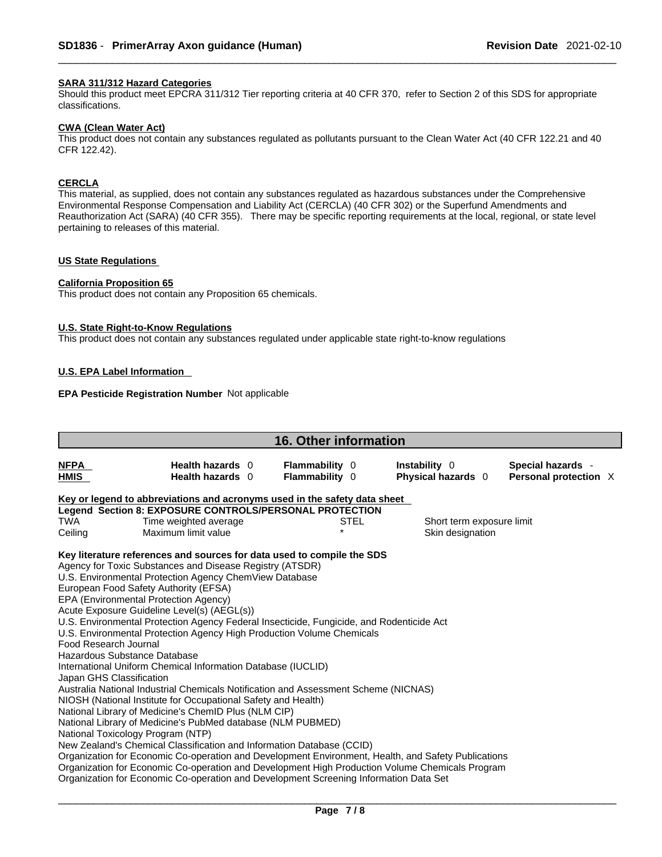### **SARA 311/312 Hazard Categories**

Should this product meet EPCRA 311/312 Tier reporting criteria at 40 CFR 370, refer to Section 2 of this SDS for appropriate classifications.

#### **CWA (Clean WaterAct)**

This product does not contain any substances regulated as pollutants pursuant to the Clean Water Act (40 CFR 122.21 and 40 CFR 122.42).

#### **CERCLA**

This material, as supplied, does not contain any substances regulated as hazardous substances under the Comprehensive Environmental Response Compensation and Liability Act (CERCLA) (40 CFR 302) or the Superfund Amendments and Reauthorization Act (SARA) (40 CFR 355). There may be specific reporting requirements at the local, regional, or state level pertaining to releases of this material.

### **US State Regulations**

### **California Proposition 65**

This product does not contain any Proposition 65 chemicals.

### **U.S. State Right-to-Know Regulations**

This product does not contain any substances regulated under applicable state right-to-know regulations

### **U.S. EPA Label Information**

### **EPA Pesticide Registration Number** Not applicable

| <b>16. Other information</b>                                                                                                                                      |                                                                       |  |                                         |             |                                     |  |                                            |  |
|-------------------------------------------------------------------------------------------------------------------------------------------------------------------|-----------------------------------------------------------------------|--|-----------------------------------------|-------------|-------------------------------------|--|--------------------------------------------|--|
| <b>NFPA</b><br><b>HMIS</b>                                                                                                                                        | Health hazards 0<br>Health hazards 0                                  |  | <b>Flammability 0</b><br>Flammability 0 |             | Instability 0<br>Physical hazards 0 |  | Special hazards -<br>Personal protection X |  |
| Key or legend to abbreviations and acronyms used in the safety data sheet                                                                                         |                                                                       |  |                                         |             |                                     |  |                                            |  |
|                                                                                                                                                                   | Legend Section 8: EXPOSURE CONTROLS/PERSONAL PROTECTION               |  |                                         |             |                                     |  |                                            |  |
| <b>TWA</b>                                                                                                                                                        | Time weighted average                                                 |  |                                         | <b>STEL</b> | Short term exposure limit           |  |                                            |  |
| Ceiling                                                                                                                                                           | Maximum limit value                                                   |  |                                         |             | Skin designation                    |  |                                            |  |
| Key literature references and sources for data used to compile the SDS<br>Agency for Toxic Substances and Disease Registry (ATSDR)                                |                                                                       |  |                                         |             |                                     |  |                                            |  |
| U.S. Environmental Protection Agency ChemView Database<br>European Food Safety Authority (EFSA)                                                                   |                                                                       |  |                                         |             |                                     |  |                                            |  |
|                                                                                                                                                                   | EPA (Environmental Protection Agency)                                 |  |                                         |             |                                     |  |                                            |  |
|                                                                                                                                                                   | Acute Exposure Guideline Level(s) (AEGL(s))                           |  |                                         |             |                                     |  |                                            |  |
|                                                                                                                                                                   |                                                                       |  |                                         |             |                                     |  |                                            |  |
| U.S. Environmental Protection Agency Federal Insecticide, Fungicide, and Rodenticide Act<br>U.S. Environmental Protection Agency High Production Volume Chemicals |                                                                       |  |                                         |             |                                     |  |                                            |  |
| Food Research Journal                                                                                                                                             |                                                                       |  |                                         |             |                                     |  |                                            |  |
| Hazardous Substance Database                                                                                                                                      |                                                                       |  |                                         |             |                                     |  |                                            |  |
| International Uniform Chemical Information Database (IUCLID)                                                                                                      |                                                                       |  |                                         |             |                                     |  |                                            |  |
| Japan GHS Classification                                                                                                                                          |                                                                       |  |                                         |             |                                     |  |                                            |  |
| Australia National Industrial Chemicals Notification and Assessment Scheme (NICNAS)                                                                               |                                                                       |  |                                         |             |                                     |  |                                            |  |
| NIOSH (National Institute for Occupational Safety and Health)<br>National Library of Medicine's ChemID Plus (NLM CIP)                                             |                                                                       |  |                                         |             |                                     |  |                                            |  |
| National Library of Medicine's PubMed database (NLM PUBMED)                                                                                                       |                                                                       |  |                                         |             |                                     |  |                                            |  |
|                                                                                                                                                                   | National Toxicology Program (NTP)                                     |  |                                         |             |                                     |  |                                            |  |
|                                                                                                                                                                   | New Zealand's Chemical Classification and Information Database (CCID) |  |                                         |             |                                     |  |                                            |  |
| Organization for Economic Co-operation and Development Environment, Health, and Safety Publications                                                               |                                                                       |  |                                         |             |                                     |  |                                            |  |
| Organization for Economic Co-operation and Development High Production Volume Chemicals Program                                                                   |                                                                       |  |                                         |             |                                     |  |                                            |  |
| Organization for Economic Co-operation and Development Screening Information Data Set                                                                             |                                                                       |  |                                         |             |                                     |  |                                            |  |